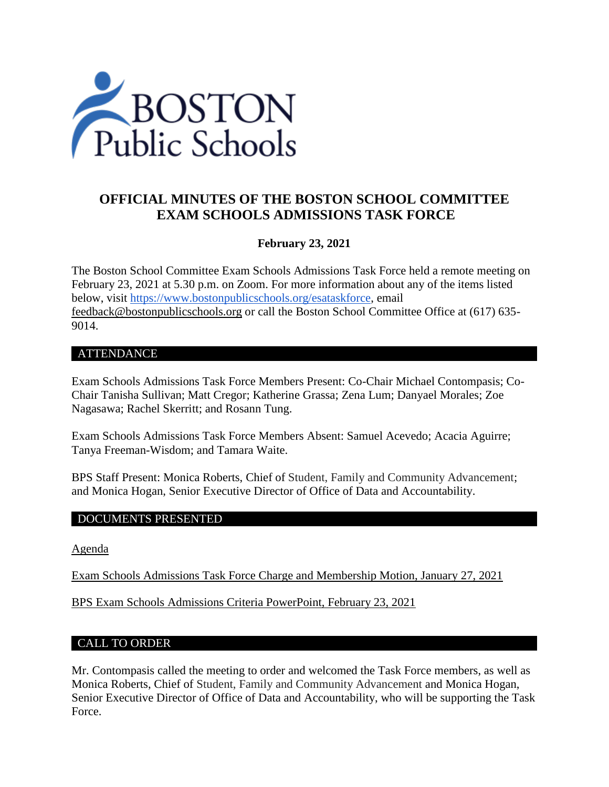

# **OFFICIAL MINUTES OF THE BOSTON SCHOOL COMMITTEE EXAM SCHOOLS ADMISSIONS TASK FORCE**

### **February 23, 2021**

The Boston School Committee Exam Schools Admissions Task Force held a remote meeting on February 23, 2021 at 5.30 p.m. on Zoom. For more information about any of the items listed below, visit [https://www.bostonpublicschools.org/esataskforce,](https://www.bostonpublicschools.org/esataskforce) email [feedback@bostonpublicschools.org](mailto:feedback@bostonpublicschools.org) or call the Boston School Committee Office at (617) 635- 9014.

#### ATTENDANCE

Exam Schools Admissions Task Force Members Present: Co-Chair Michael Contompasis; Co-Chair Tanisha Sullivan; Matt Cregor; Katherine Grassa; Zena Lum; Danyael Morales; Zoe Nagasawa; Rachel Skerritt; and Rosann Tung.

Exam Schools Admissions Task Force Members Absent: Samuel Acevedo; Acacia Aguirre; Tanya Freeman-Wisdom; and Tamara Waite.

BPS Staff Present: Monica Roberts, Chief of Student, Family and Community Advancement; and Monica Hogan, Senior Executive Director of Office of Data and Accountability.

#### DOCUMENTS PRESENTED

[Agenda](https://www.boston.gov/public-notices/14766511)

[Exam Schools Admissions Task Force Charge and Membership Motion, January 27, 2021](https://www.bostonpublicschools.org/cms/lib/MA01906464/Centricity/Domain/2931/Exam%20Schools%20Admissions%20TF%20Charge%20%20Membership%20Motion%201%2027%2021%20.pdf)

[BPS Exam Schools Admissions Criteria PowerPoint, February 23, 2021](https://www.bostonpublicschools.org/cms/lib/MA01906464/Centricity/Domain/2931/Exam%20School%20Admissions%20Task%20Force2%2023%2021%20meeting.pdf)

#### CALL TO ORDER

Mr. Contompasis called the meeting to order and welcomed the Task Force members, as well as Monica Roberts, Chief of Student, Family and Community Advancement and Monica Hogan, Senior Executive Director of Office of Data and Accountability, who will be supporting the Task Force.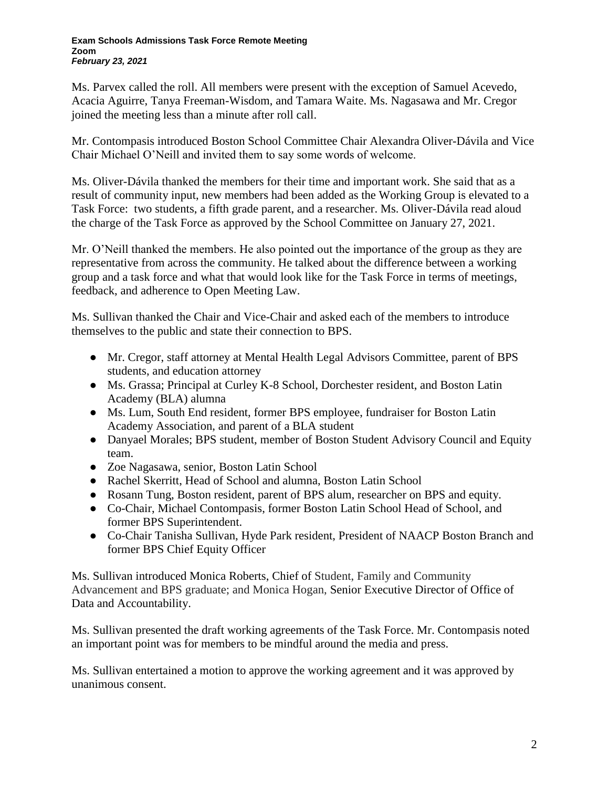Ms. Parvex called the roll. All members were present with the exception of Samuel Acevedo, Acacia Aguirre, Tanya Freeman-Wisdom, and Tamara Waite. Ms. Nagasawa and Mr. Cregor joined the meeting less than a minute after roll call.

Mr. Contompasis introduced Boston School Committee Chair Alexandra Oliver-Dávila and Vice Chair Michael O'Neill and invited them to say some words of welcome.

Ms. Oliver-Dávila thanked the members for their time and important work. She said that as a result of community input, new members had been added as the Working Group is elevated to a Task Force: two students, a fifth grade parent, and a researcher. Ms. Oliver-Dávila read aloud the charge of the Task Force as approved by the School Committee on January 27, 2021.

Mr. O'Neill thanked the members. He also pointed out the importance of the group as they are representative from across the community. He talked about the difference between a working group and a task force and what that would look like for the Task Force in terms of meetings, feedback, and adherence to Open Meeting Law.

Ms. Sullivan thanked the Chair and Vice-Chair and asked each of the members to introduce themselves to the public and state their connection to BPS.

- Mr. Cregor, staff attorney at Mental Health Legal Advisors Committee, parent of BPS students, and education attorney
- Ms. Grassa; Principal at Curley K-8 School, Dorchester resident, and Boston Latin Academy (BLA) alumna
- Ms. Lum, South End resident, former BPS employee, fundraiser for Boston Latin Academy Association, and parent of a BLA student
- Danyael Morales; BPS student, member of Boston Student Advisory Council and Equity team.
- Zoe Nagasawa, senior, Boston Latin School
- Rachel Skerritt, Head of School and alumna, Boston Latin School
- Rosann Tung, Boston resident, parent of BPS alum, researcher on BPS and equity.
- Co-Chair, Michael Contompasis, former Boston Latin School Head of School, and former BPS Superintendent.
- Co-Chair Tanisha Sullivan, Hyde Park resident, President of NAACP Boston Branch and former BPS Chief Equity Officer

Ms. Sullivan introduced Monica Roberts, Chief of Student, Family and Community Advancement and BPS graduate; and Monica Hogan, Senior Executive Director of Office of Data and Accountability.

Ms. Sullivan presented the draft working agreements of the Task Force. Mr. Contompasis noted an important point was for members to be mindful around the media and press.

Ms. Sullivan entertained a motion to approve the working agreement and it was approved by unanimous consent.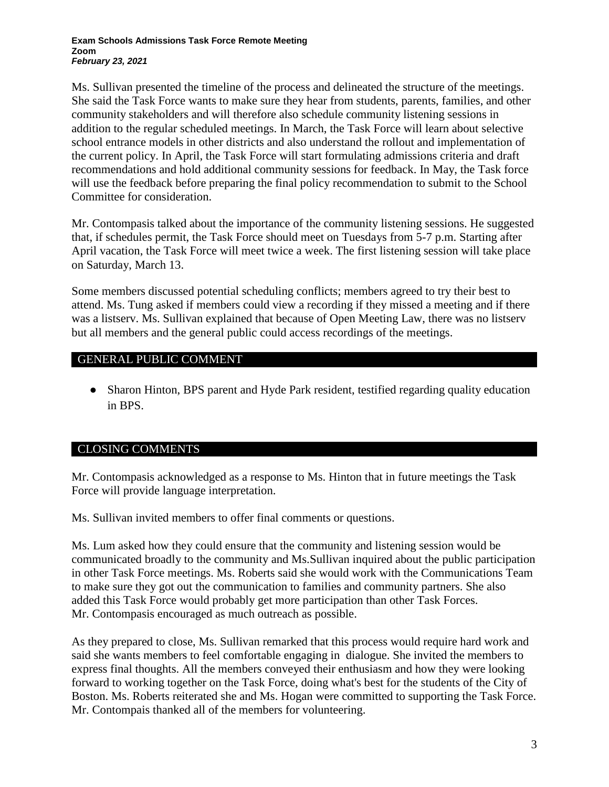Ms. Sullivan presented the timeline of the process and delineated the structure of the meetings. She said the Task Force wants to make sure they hear from students, parents, families, and other community stakeholders and will therefore also schedule community listening sessions in addition to the regular scheduled meetings. In March, the Task Force will learn about selective school entrance models in other districts and also understand the rollout and implementation of the current policy. In April, the Task Force will start formulating admissions criteria and draft recommendations and hold additional community sessions for feedback. In May, the Task force will use the feedback before preparing the final policy recommendation to submit to the School Committee for consideration.

Mr. Contompasis talked about the importance of the community listening sessions. He suggested that, if schedules permit, the Task Force should meet on Tuesdays from 5-7 p.m. Starting after April vacation, the Task Force will meet twice a week. The first listening session will take place on Saturday, March 13.

Some members discussed potential scheduling conflicts; members agreed to try their best to attend. Ms. Tung asked if members could view a recording if they missed a meeting and if there was a listserv. Ms. Sullivan explained that because of Open Meeting Law, there was no listserv but all members and the general public could access recordings of the meetings.

### GENERAL PUBLIC COMMENT

• Sharon Hinton, BPS parent and Hyde Park resident, testified regarding quality education in BPS.

## CLOSING COMMENTS

Mr. Contompasis acknowledged as a response to Ms. Hinton that in future meetings the Task Force will provide language interpretation.

Ms. Sullivan invited members to offer final comments or questions.

Ms. Lum asked how they could ensure that the community and listening session would be communicated broadly to the community and Ms.Sullivan inquired about the public participation in other Task Force meetings. Ms. Roberts said she would work with the Communications Team to make sure they got out the communication to families and community partners. She also added this Task Force would probably get more participation than other Task Forces. Mr. Contompasis encouraged as much outreach as possible.

As they prepared to close, Ms. Sullivan remarked that this process would require hard work and said she wants members to feel comfortable engaging in dialogue. She invited the members to express final thoughts. All the members conveyed their enthusiasm and how they were looking forward to working together on the Task Force, doing what's best for the students of the City of Boston. Ms. Roberts reiterated she and Ms. Hogan were committed to supporting the Task Force. Mr. Contompais thanked all of the members for volunteering.